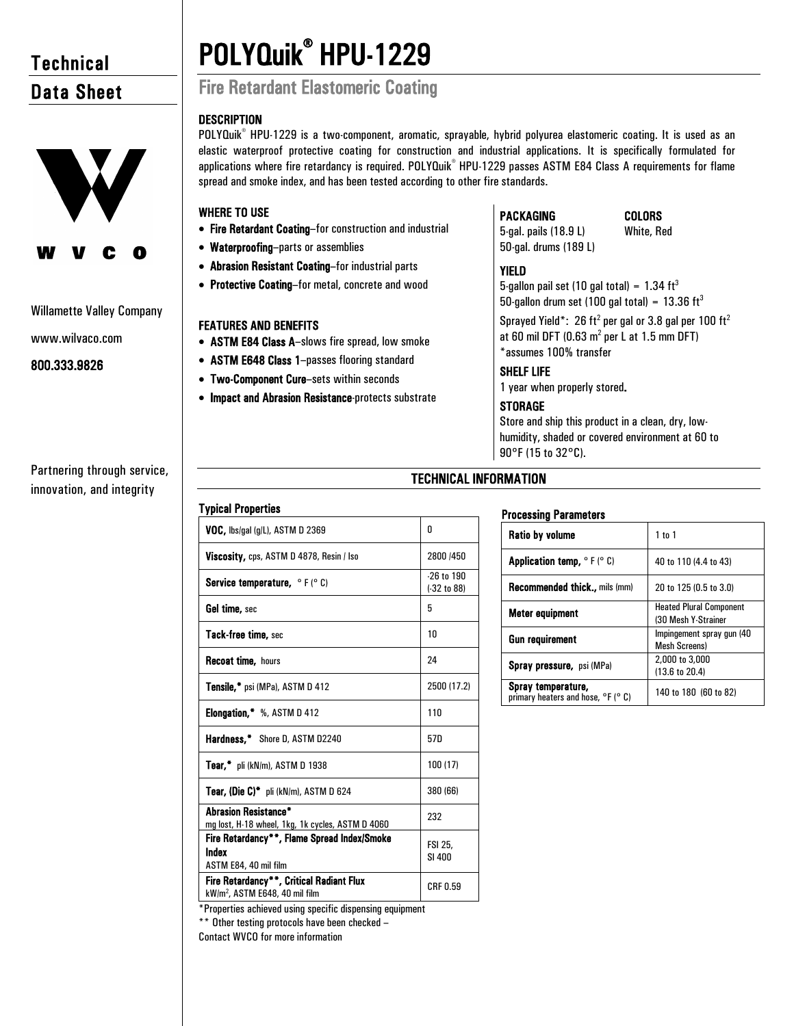# **Technical** Data Sheet



# Willamette Valley Company

www.wilvaco.com

# 800.333.9826

Partnering through service, innovation, and integrity

# POLYQuik® HPU-1229 Fire Retardant Elastomeric Coating

• Fire Retardant Coating–for construction and industrial

• Abrasion Resistant Coating–for industrial parts • Protective Coating–for metal, concrete and wood

• ASTM E84 Class A–slows fire spread, low smoke • ASTM E648 Class 1–passes flooring standard • Two-Component Cure–sets within seconds

• Impact and Abrasion Resistance-protects substrate

• Waterproofing–parts or assemblies

FEATURES AND BENEFITS

Typical Properties

spread and smoke index, and has been tested according to other fire standards.

# **DESCRIPTION** POLYQuik<sup>®</sup> HPU-1229 is a two-component, aromatic, sprayable, hybrid polyurea elastomeric coating. It is used as an

WHERE TO USE



5-gal. pails (18.9 L) 50-gal. drums (189 L)

# COLORS

White, Red

# YIELD

elastic waterproof protective coating for construction and industrial applications. It is specifically formulated for applications where fire retardancy is required. POLYQuik® HPU-1229 passes ASTM E84 Class A requirements for flame

> 5-gallon pail set (10 gal total) =  $1.34 \text{ ft}^3$ 50-gallon drum set (100 gal total) =  $13.36 \text{ ft}^3$

Sprayed Yield\*: 26 ft<sup>2</sup> per gal or 3.8 gal per 100 ft<sup>2</sup> at 60 mil DFT (0.63  $m^2$  per L at 1.5 mm DFT) \*assumes 100% transfer

# SHELF LIFE

1 year when properly stored.

# **STORAGE**

Store and ship this product in a clean, dry, lowhumidity, shaded or covered environment at 60 to 90°F (15 to 32°C).

# TECHNICAL INFORMATION

# Processing Parameters

| <b>Ratio by volume</b>                                               | 1 to 1                                                |
|----------------------------------------------------------------------|-------------------------------------------------------|
| <b>Application temp, <math>\circ</math> F (<math>\circ</math> C)</b> | 40 to 110 (4.4 to 43)                                 |
| <b>Recommended thick., mils (mm)</b>                                 | 20 to 125 (0.5 to 3.0)                                |
| Meter equipment                                                      | <b>Heated Plural Component</b><br>(30 Mesh Y-Strainer |
| <b>Gun requirement</b>                                               | Impingement spray gun (40<br><b>Mesh Screens)</b>     |
| <b>Spray pressure, psi (MPa)</b>                                     | 2,000 to 3,000<br>(13.6 to 20.4)                      |
| Spray temperature,<br>primary heaters and hose, °F (° C)             | 140 to 180 (60 to 82)                                 |

| i hiam i i ahai mas                                                                    |                                 |  |
|----------------------------------------------------------------------------------------|---------------------------------|--|
| VOC, lbs/gal (g/L), ASTM D 2369                                                        | 0                               |  |
| Viscosity, cps, ASTM D 4878, Resin / Iso                                               | 2800 /450                       |  |
| <b>Service temperature, <math>\circ</math> F (<math>\circ</math> C)</b>                | $-26$ to $190$<br>$(-32 to 88)$ |  |
| Gel time, sec                                                                          | 5                               |  |
| Tack-free time, sec                                                                    | 10                              |  |
| <b>Recoat time, hours</b>                                                              | 24                              |  |
| <b>Tensile,*</b> psi (MPa), ASTM D 412                                                 | 2500 (17.2)                     |  |
| <b>Elongation.</b> %, ASTM D 412                                                       | 110                             |  |
| Hardness,* Shore D, ASTM D2240                                                         | 57D                             |  |
| <b>Tear,</b> $\overline{\phantom{a}}$ pli (kN/m), ASTM D 1938                          | 100 (17)                        |  |
| <b>Tear, (Die C)*</b> pli (kN/m), ASTM D 624                                           | 380 (66)                        |  |
| <b>Abrasion Resistance*</b><br>mg lost, H-18 wheel, 1kg, 1k cycles, ASTM D 4060        | 232                             |  |
| Fire Retardancy**, Flame Spread Index/Smoke<br>Index                                   | FSI 25,<br>SI 400               |  |
| ASTM E84, 40 mil film                                                                  |                                 |  |
| Fire Retardancy**, Critical Radiant Flux<br>kW/m <sup>2</sup> , ASTM E648, 40 mil film | CRF 0.59                        |  |
|                                                                                        |                                 |  |

\*Properties achieved using specific dispensing equipment

\*\* Other testing protocols have been checked –

Contact WVCO for more information